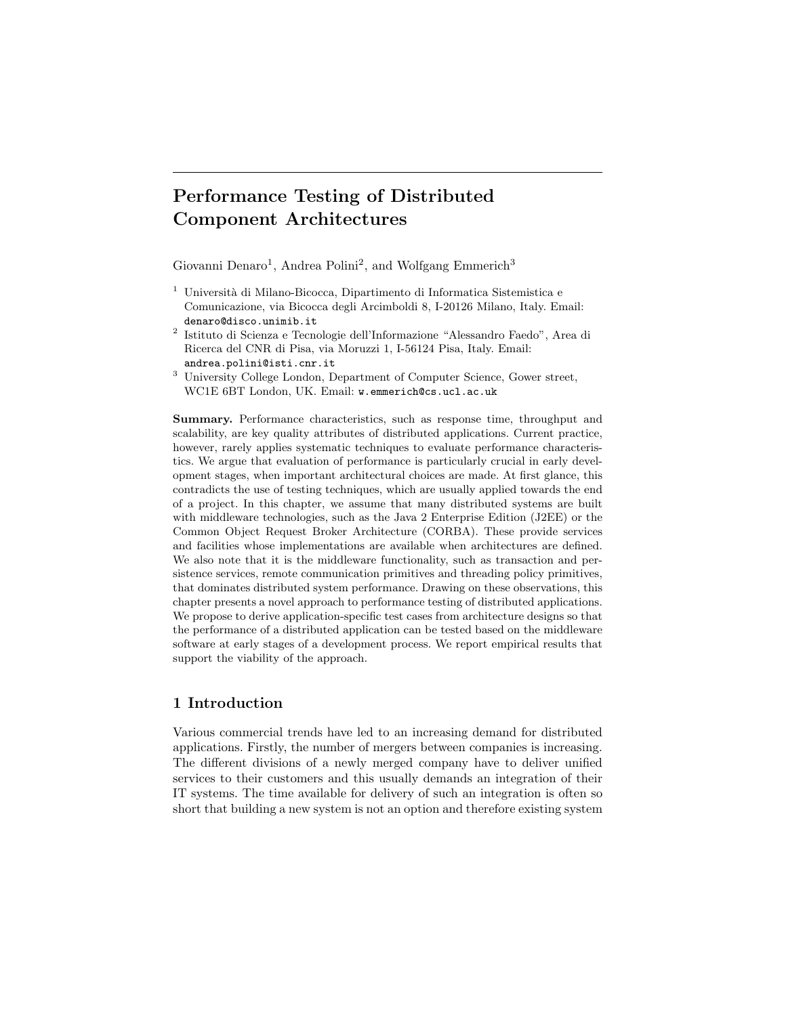# Performance Testing of Distributed Component Architectures

Giovanni Denaro<sup>1</sup>, Andrea Polini<sup>2</sup>, and Wolfgang Emmerich<sup>3</sup>

- <sup>1</sup> Università di Milano-Bicocca, Dipartimento di Informatica Sistemistica e Comunicazione, via Bicocca degli Arcimboldi 8, I-20126 Milano, Italy. Email: denaro@disco.unimib.it
- 2 Istituto di Scienza e Tecnologie dell'Informazione "Alessandro Faedo", Area di Ricerca del CNR di Pisa, via Moruzzi 1, I-56124 Pisa, Italy. Email: andrea.polini@isti.cnr.it
- <sup>3</sup> University College London, Department of Computer Science, Gower street, WC1E 6BT London, UK. Email: w.emmerich@cs.ucl.ac.uk

Summary. Performance characteristics, such as response time, throughput and scalability, are key quality attributes of distributed applications. Current practice, however, rarely applies systematic techniques to evaluate performance characteristics. We argue that evaluation of performance is particularly crucial in early development stages, when important architectural choices are made. At first glance, this contradicts the use of testing techniques, which are usually applied towards the end of a project. In this chapter, we assume that many distributed systems are built with middleware technologies, such as the Java 2 Enterprise Edition (J2EE) or the Common Object Request Broker Architecture (CORBA). These provide services and facilities whose implementations are available when architectures are defined. We also note that it is the middleware functionality, such as transaction and persistence services, remote communication primitives and threading policy primitives, that dominates distributed system performance. Drawing on these observations, this chapter presents a novel approach to performance testing of distributed applications. We propose to derive application-specific test cases from architecture designs so that the performance of a distributed application can be tested based on the middleware software at early stages of a development process. We report empirical results that support the viability of the approach.

# 1 Introduction

Various commercial trends have led to an increasing demand for distributed applications. Firstly, the number of mergers between companies is increasing. The different divisions of a newly merged company have to deliver unified services to their customers and this usually demands an integration of their IT systems. The time available for delivery of such an integration is often so short that building a new system is not an option and therefore existing system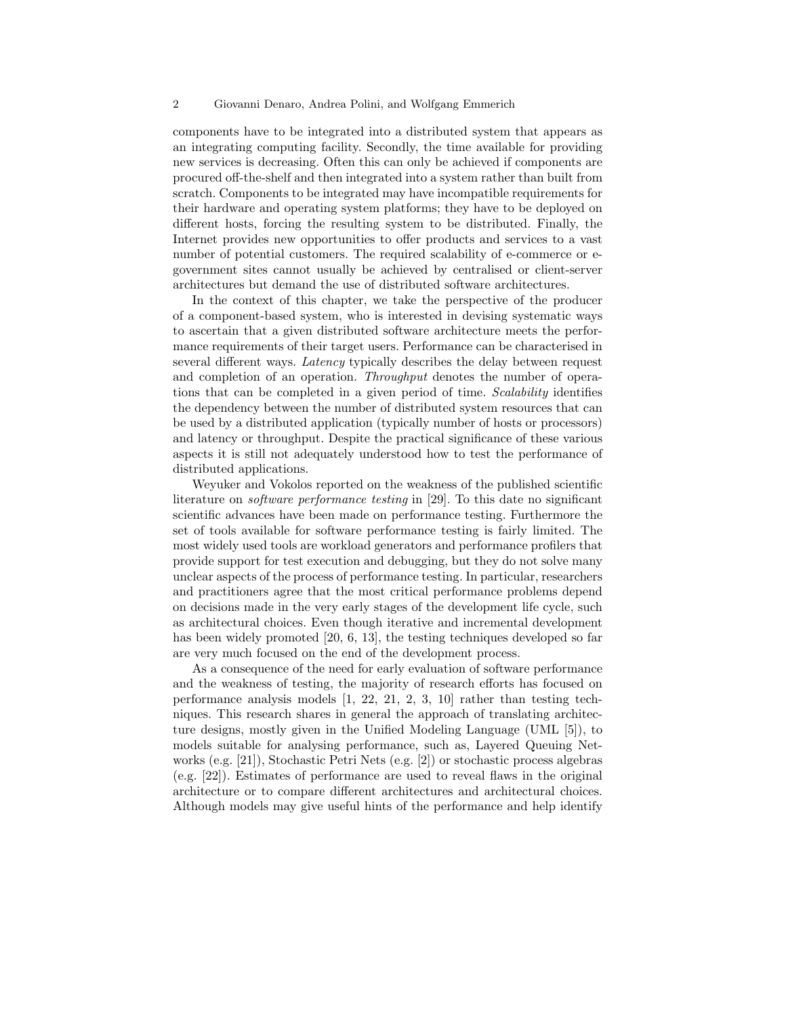components have to be integrated into a distributed system that appears as an integrating computing facility. Secondly, the time available for providing new services is decreasing. Often this can only be achieved if components are procured off-the-shelf and then integrated into a system rather than built from scratch. Components to be integrated may have incompatible requirements for their hardware and operating system platforms; they have to be deployed on different hosts, forcing the resulting system to be distributed. Finally, the Internet provides new opportunities to offer products and services to a vast number of potential customers. The required scalability of e-commerce or egovernment sites cannot usually be achieved by centralised or client-server architectures but demand the use of distributed software architectures.

In the context of this chapter, we take the perspective of the producer of a component-based system, who is interested in devising systematic ways to ascertain that a given distributed software architecture meets the performance requirements of their target users. Performance can be characterised in several different ways. Latency typically describes the delay between request and completion of an operation. Throughput denotes the number of operations that can be completed in a given period of time. Scalability identifies the dependency between the number of distributed system resources that can be used by a distributed application (typically number of hosts or processors) and latency or throughput. Despite the practical significance of these various aspects it is still not adequately understood how to test the performance of distributed applications.

Weyuker and Vokolos reported on the weakness of the published scientific literature on software performance testing in [29]. To this date no significant scientific advances have been made on performance testing. Furthermore the set of tools available for software performance testing is fairly limited. The most widely used tools are workload generators and performance profilers that provide support for test execution and debugging, but they do not solve many unclear aspects of the process of performance testing. In particular, researchers and practitioners agree that the most critical performance problems depend on decisions made in the very early stages of the development life cycle, such as architectural choices. Even though iterative and incremental development has been widely promoted [20, 6, 13], the testing techniques developed so far are very much focused on the end of the development process.

As a consequence of the need for early evaluation of software performance and the weakness of testing, the majority of research efforts has focused on performance analysis models [1, 22, 21, 2, 3, 10] rather than testing techniques. This research shares in general the approach of translating architecture designs, mostly given in the Unified Modeling Language (UML [5]), to models suitable for analysing performance, such as, Layered Queuing Networks (e.g. [21]), Stochastic Petri Nets (e.g. [2]) or stochastic process algebras (e.g. [22]). Estimates of performance are used to reveal flaws in the original architecture or to compare different architectures and architectural choices. Although models may give useful hints of the performance and help identify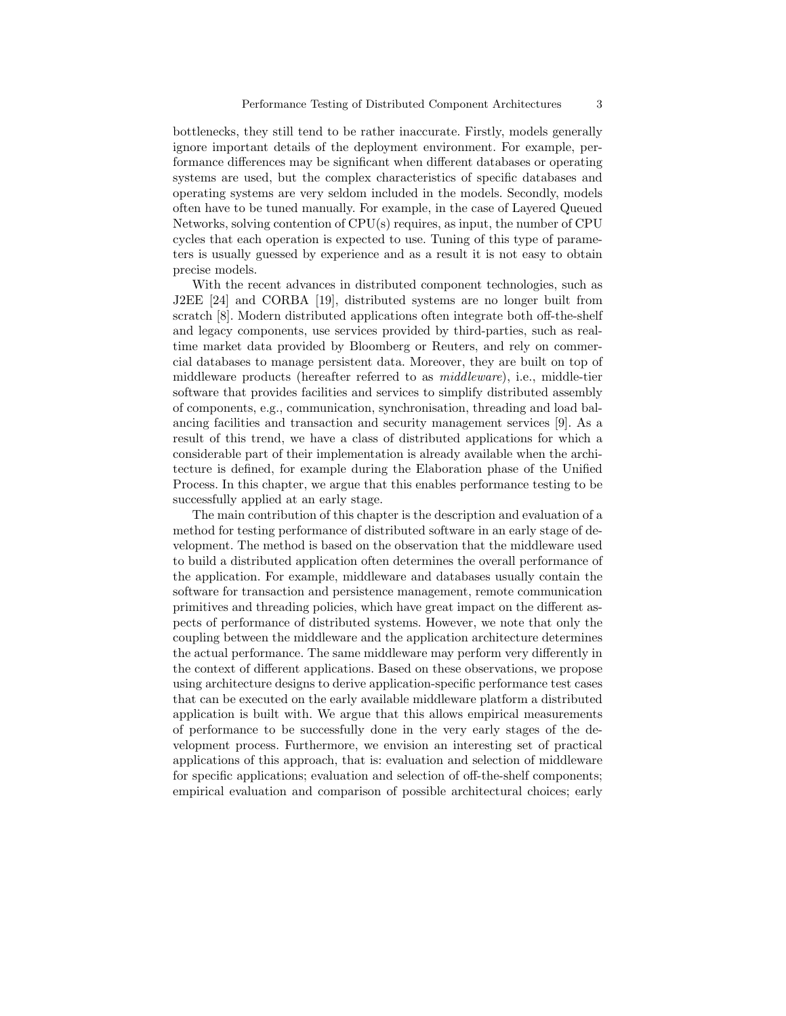bottlenecks, they still tend to be rather inaccurate. Firstly, models generally ignore important details of the deployment environment. For example, performance differences may be significant when different databases or operating systems are used, but the complex characteristics of specific databases and operating systems are very seldom included in the models. Secondly, models often have to be tuned manually. For example, in the case of Layered Queued Networks, solving contention of CPU(s) requires, as input, the number of CPU cycles that each operation is expected to use. Tuning of this type of parameters is usually guessed by experience and as a result it is not easy to obtain precise models.

With the recent advances in distributed component technologies, such as J2EE [24] and CORBA [19], distributed systems are no longer built from scratch [8]. Modern distributed applications often integrate both off-the-shelf and legacy components, use services provided by third-parties, such as realtime market data provided by Bloomberg or Reuters, and rely on commercial databases to manage persistent data. Moreover, they are built on top of middleware products (hereafter referred to as middleware), i.e., middle-tier software that provides facilities and services to simplify distributed assembly of components, e.g., communication, synchronisation, threading and load balancing facilities and transaction and security management services [9]. As a result of this trend, we have a class of distributed applications for which a considerable part of their implementation is already available when the architecture is defined, for example during the Elaboration phase of the Unified Process. In this chapter, we argue that this enables performance testing to be successfully applied at an early stage.

The main contribution of this chapter is the description and evaluation of a method for testing performance of distributed software in an early stage of development. The method is based on the observation that the middleware used to build a distributed application often determines the overall performance of the application. For example, middleware and databases usually contain the software for transaction and persistence management, remote communication primitives and threading policies, which have great impact on the different aspects of performance of distributed systems. However, we note that only the coupling between the middleware and the application architecture determines the actual performance. The same middleware may perform very differently in the context of different applications. Based on these observations, we propose using architecture designs to derive application-specific performance test cases that can be executed on the early available middleware platform a distributed application is built with. We argue that this allows empirical measurements of performance to be successfully done in the very early stages of the development process. Furthermore, we envision an interesting set of practical applications of this approach, that is: evaluation and selection of middleware for specific applications; evaluation and selection of off-the-shelf components; empirical evaluation and comparison of possible architectural choices; early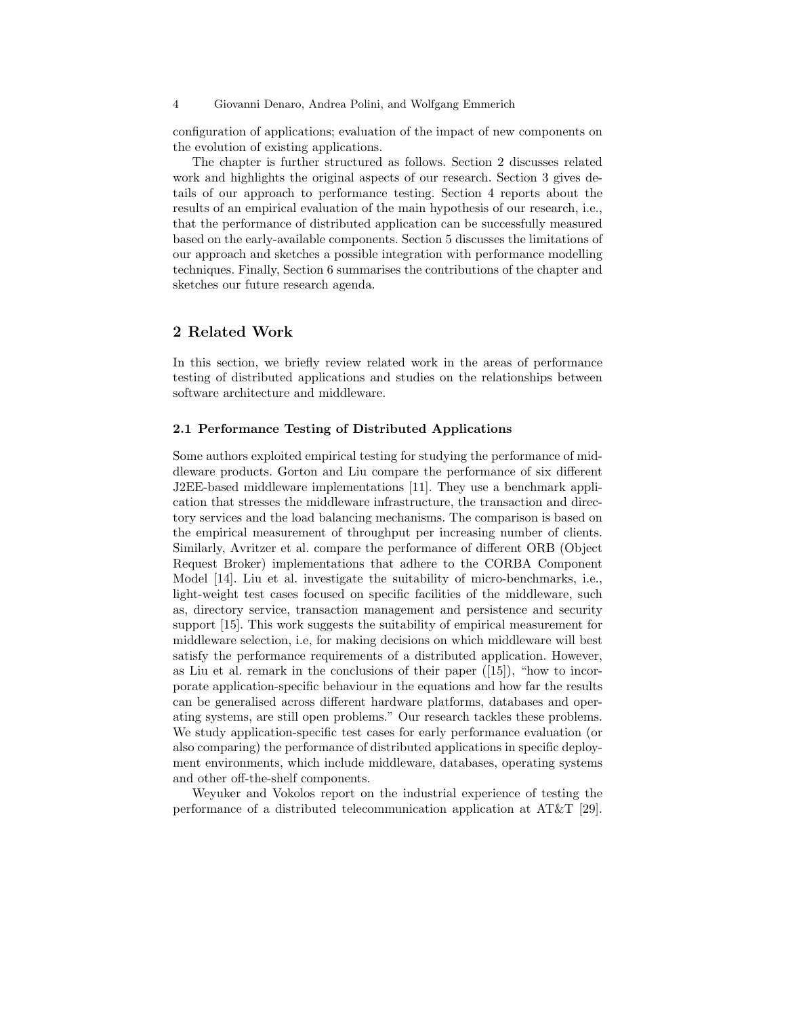configuration of applications; evaluation of the impact of new components on the evolution of existing applications.

The chapter is further structured as follows. Section 2 discusses related work and highlights the original aspects of our research. Section 3 gives details of our approach to performance testing. Section 4 reports about the results of an empirical evaluation of the main hypothesis of our research, i.e., that the performance of distributed application can be successfully measured based on the early-available components. Section 5 discusses the limitations of our approach and sketches a possible integration with performance modelling techniques. Finally, Section 6 summarises the contributions of the chapter and sketches our future research agenda.

## 2 Related Work

In this section, we briefly review related work in the areas of performance testing of distributed applications and studies on the relationships between software architecture and middleware.

#### 2.1 Performance Testing of Distributed Applications

Some authors exploited empirical testing for studying the performance of middleware products. Gorton and Liu compare the performance of six different J2EE-based middleware implementations [11]. They use a benchmark application that stresses the middleware infrastructure, the transaction and directory services and the load balancing mechanisms. The comparison is based on the empirical measurement of throughput per increasing number of clients. Similarly, Avritzer et al. compare the performance of different ORB (Object Request Broker) implementations that adhere to the CORBA Component Model [14]. Liu et al. investigate the suitability of micro-benchmarks, i.e., light-weight test cases focused on specific facilities of the middleware, such as, directory service, transaction management and persistence and security support [15]. This work suggests the suitability of empirical measurement for middleware selection, i.e, for making decisions on which middleware will best satisfy the performance requirements of a distributed application. However, as Liu et al. remark in the conclusions of their paper ([15]), "how to incorporate application-specific behaviour in the equations and how far the results can be generalised across different hardware platforms, databases and operating systems, are still open problems." Our research tackles these problems. We study application-specific test cases for early performance evaluation (or also comparing) the performance of distributed applications in specific deployment environments, which include middleware, databases, operating systems and other off-the-shelf components.

Weyuker and Vokolos report on the industrial experience of testing the performance of a distributed telecommunication application at AT&T [29].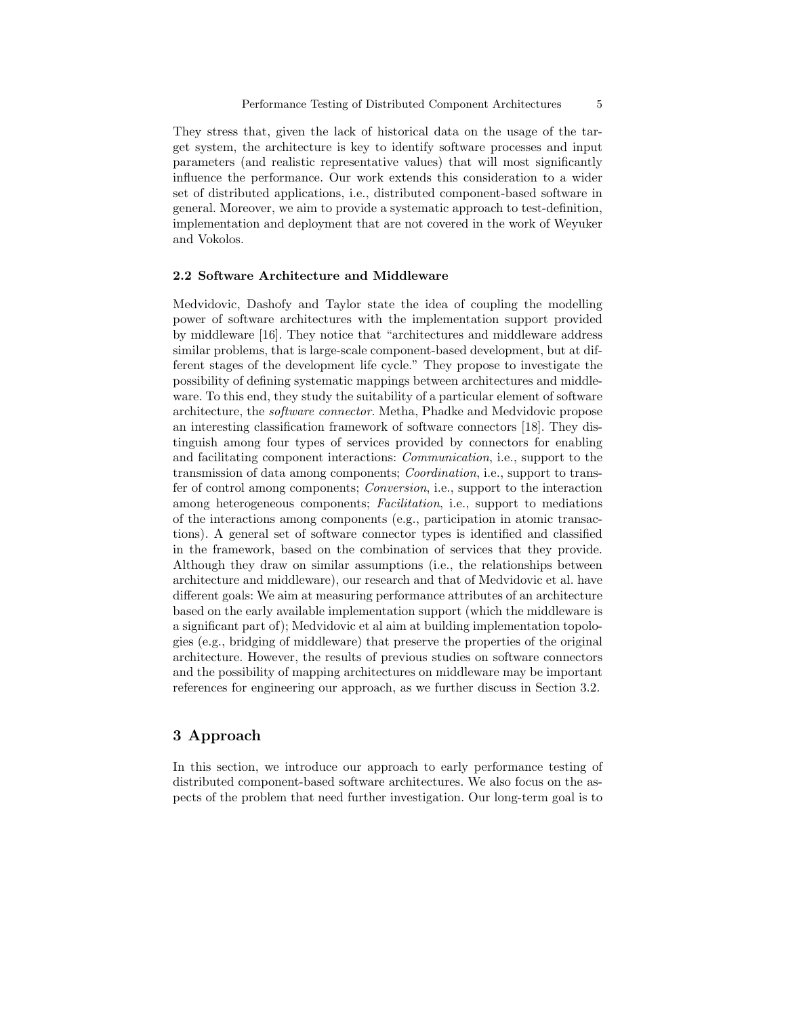They stress that, given the lack of historical data on the usage of the target system, the architecture is key to identify software processes and input parameters (and realistic representative values) that will most significantly influence the performance. Our work extends this consideration to a wider set of distributed applications, i.e., distributed component-based software in general. Moreover, we aim to provide a systematic approach to test-definition, implementation and deployment that are not covered in the work of Weyuker and Vokolos.

#### 2.2 Software Architecture and Middleware

Medvidovic, Dashofy and Taylor state the idea of coupling the modelling power of software architectures with the implementation support provided by middleware [16]. They notice that "architectures and middleware address similar problems, that is large-scale component-based development, but at different stages of the development life cycle." They propose to investigate the possibility of defining systematic mappings between architectures and middleware. To this end, they study the suitability of a particular element of software architecture, the software connector. Metha, Phadke and Medvidovic propose an interesting classification framework of software connectors [18]. They distinguish among four types of services provided by connectors for enabling and facilitating component interactions: Communication, i.e., support to the transmission of data among components; Coordination, i.e., support to transfer of control among components; Conversion, i.e., support to the interaction among heterogeneous components; Facilitation, i.e., support to mediations of the interactions among components (e.g., participation in atomic transactions). A general set of software connector types is identified and classified in the framework, based on the combination of services that they provide. Although they draw on similar assumptions (i.e., the relationships between architecture and middleware), our research and that of Medvidovic et al. have different goals: We aim at measuring performance attributes of an architecture based on the early available implementation support (which the middleware is a significant part of); Medvidovic et al aim at building implementation topologies (e.g., bridging of middleware) that preserve the properties of the original architecture. However, the results of previous studies on software connectors and the possibility of mapping architectures on middleware may be important references for engineering our approach, as we further discuss in Section 3.2.

## 3 Approach

In this section, we introduce our approach to early performance testing of distributed component-based software architectures. We also focus on the aspects of the problem that need further investigation. Our long-term goal is to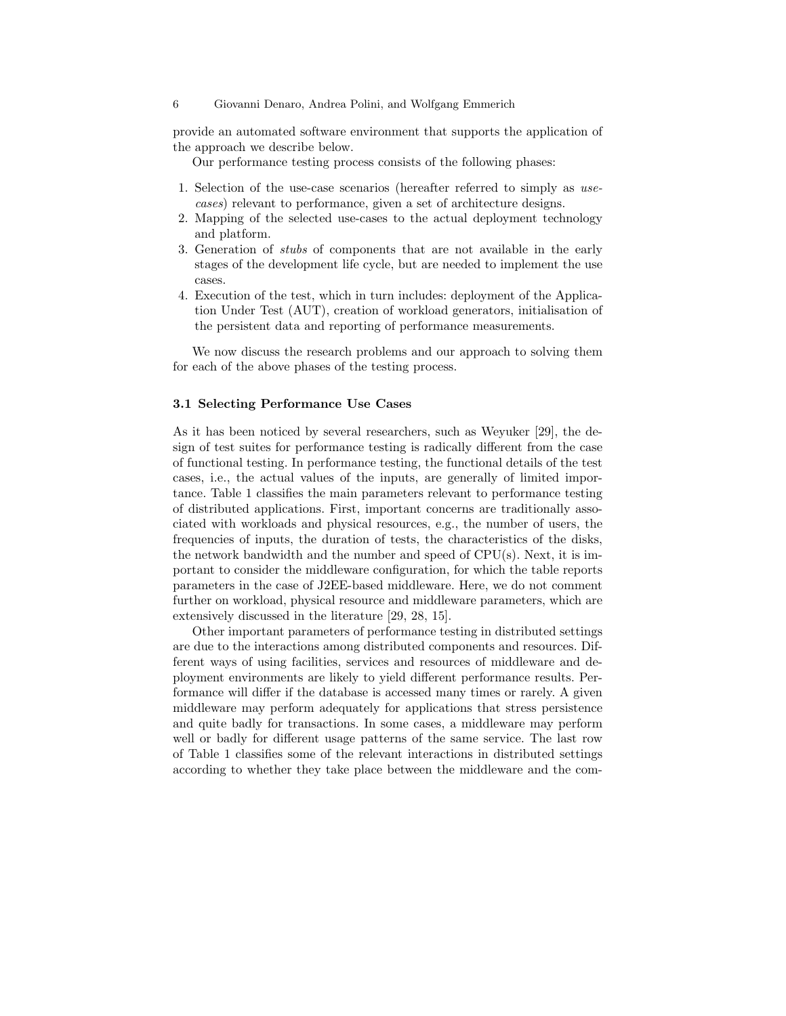provide an automated software environment that supports the application of the approach we describe below.

Our performance testing process consists of the following phases:

- 1. Selection of the use-case scenarios (hereafter referred to simply as usecases) relevant to performance, given a set of architecture designs.
- 2. Mapping of the selected use-cases to the actual deployment technology and platform.
- 3. Generation of stubs of components that are not available in the early stages of the development life cycle, but are needed to implement the use cases.
- 4. Execution of the test, which in turn includes: deployment of the Application Under Test (AUT), creation of workload generators, initialisation of the persistent data and reporting of performance measurements.

We now discuss the research problems and our approach to solving them for each of the above phases of the testing process.

#### 3.1 Selecting Performance Use Cases

As it has been noticed by several researchers, such as Weyuker [29], the design of test suites for performance testing is radically different from the case of functional testing. In performance testing, the functional details of the test cases, i.e., the actual values of the inputs, are generally of limited importance. Table 1 classifies the main parameters relevant to performance testing of distributed applications. First, important concerns are traditionally associated with workloads and physical resources, e.g., the number of users, the frequencies of inputs, the duration of tests, the characteristics of the disks, the network bandwidth and the number and speed of  $CPU(s)$ . Next, it is important to consider the middleware configuration, for which the table reports parameters in the case of J2EE-based middleware. Here, we do not comment further on workload, physical resource and middleware parameters, which are extensively discussed in the literature [29, 28, 15].

Other important parameters of performance testing in distributed settings are due to the interactions among distributed components and resources. Different ways of using facilities, services and resources of middleware and deployment environments are likely to yield different performance results. Performance will differ if the database is accessed many times or rarely. A given middleware may perform adequately for applications that stress persistence and quite badly for transactions. In some cases, a middleware may perform well or badly for different usage patterns of the same service. The last row of Table 1 classifies some of the relevant interactions in distributed settings according to whether they take place between the middleware and the com-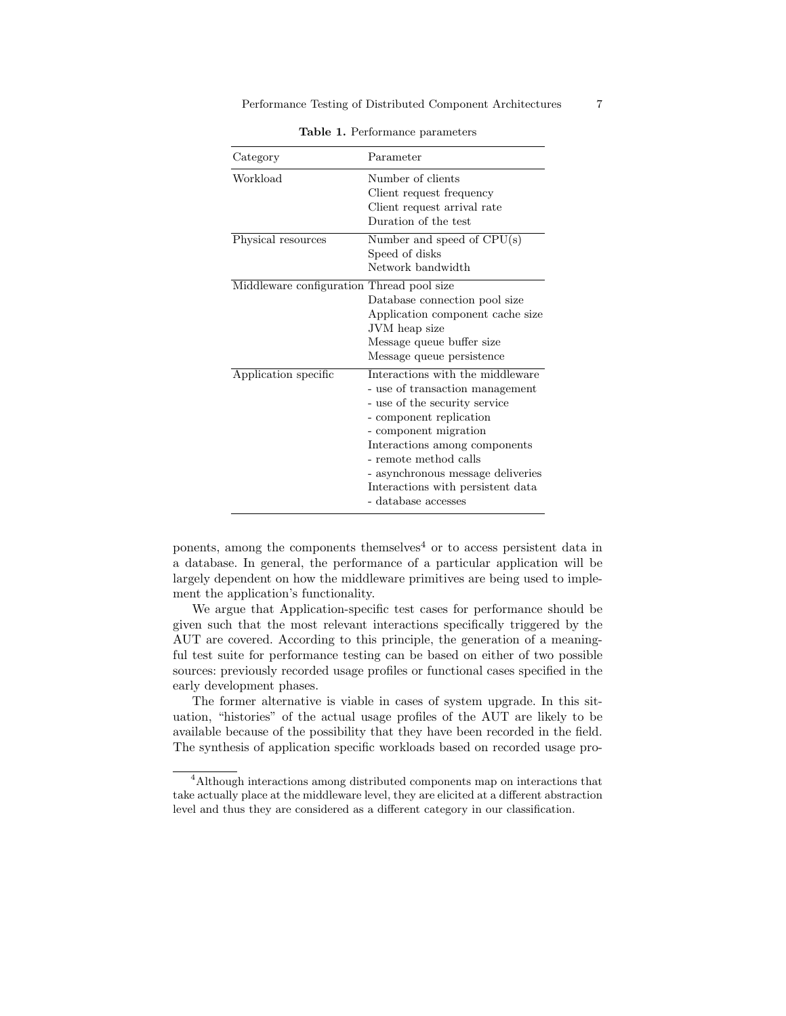| Category                                  | Parameter                         |
|-------------------------------------------|-----------------------------------|
| Workload                                  | Number of clients                 |
|                                           | Client request frequency          |
|                                           | Client request arrival rate       |
|                                           | Duration of the test              |
| Physical resources                        | Number and speed of CPU(s)        |
|                                           | Speed of disks                    |
|                                           | Network bandwidth                 |
| Middleware configuration Thread pool size |                                   |
|                                           | Database connection pool size     |
|                                           | Application component cache size  |
|                                           | JVM heap size                     |
|                                           | Message queue buffer size         |
|                                           | Message queue persistence         |
| Application specific                      | Interactions with the middleware  |
|                                           | - use of transaction management   |
|                                           | - use of the security service     |
|                                           | - component replication           |
|                                           | - component migration             |
|                                           | Interactions among components     |
|                                           | - remote method calls             |
|                                           | - asynchronous message deliveries |
|                                           | Interactions with persistent data |
|                                           | - database accesses               |

Table 1. Performance parameters

ponents, among the components themselves<sup>4</sup> or to access persistent data in a database. In general, the performance of a particular application will be largely dependent on how the middleware primitives are being used to implement the application's functionality.

We argue that Application-specific test cases for performance should be given such that the most relevant interactions specifically triggered by the AUT are covered. According to this principle, the generation of a meaningful test suite for performance testing can be based on either of two possible sources: previously recorded usage profiles or functional cases specified in the early development phases.

The former alternative is viable in cases of system upgrade. In this situation, "histories" of the actual usage profiles of the AUT are likely to be available because of the possibility that they have been recorded in the field. The synthesis of application specific workloads based on recorded usage pro-

<sup>4</sup>Although interactions among distributed components map on interactions that take actually place at the middleware level, they are elicited at a different abstraction level and thus they are considered as a different category in our classification.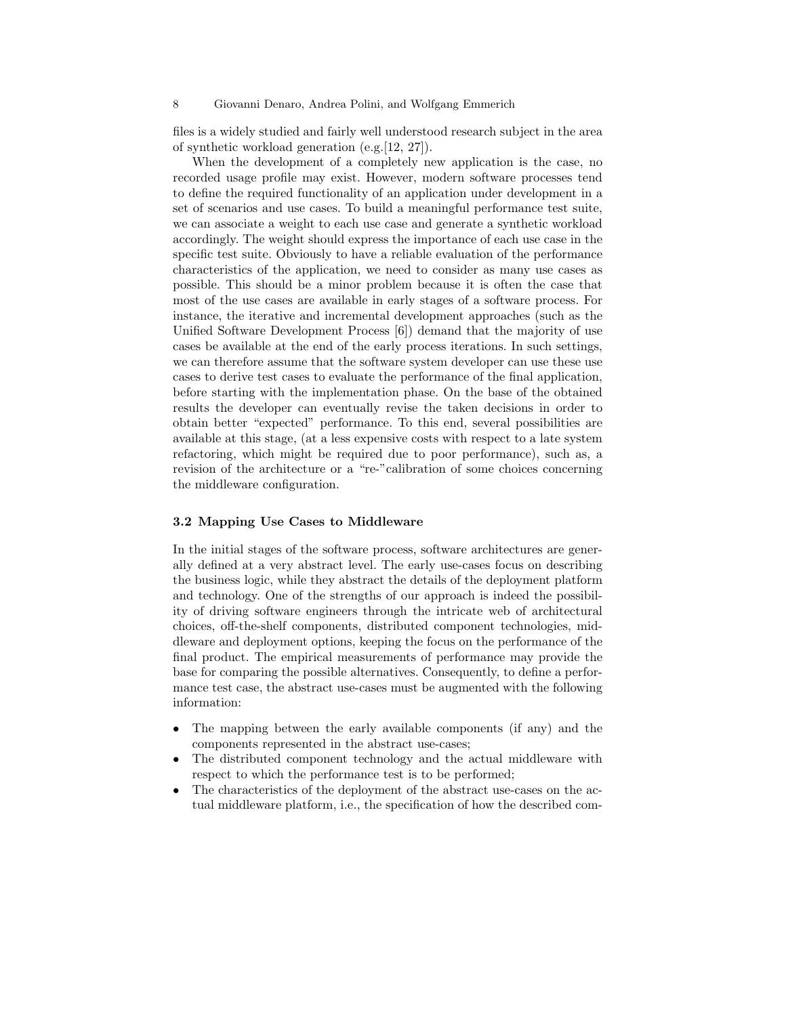files is a widely studied and fairly well understood research subject in the area of synthetic workload generation (e.g.[12, 27]).

When the development of a completely new application is the case, no recorded usage profile may exist. However, modern software processes tend to define the required functionality of an application under development in a set of scenarios and use cases. To build a meaningful performance test suite, we can associate a weight to each use case and generate a synthetic workload accordingly. The weight should express the importance of each use case in the specific test suite. Obviously to have a reliable evaluation of the performance characteristics of the application, we need to consider as many use cases as possible. This should be a minor problem because it is often the case that most of the use cases are available in early stages of a software process. For instance, the iterative and incremental development approaches (such as the Unified Software Development Process [6]) demand that the majority of use cases be available at the end of the early process iterations. In such settings, we can therefore assume that the software system developer can use these use cases to derive test cases to evaluate the performance of the final application, before starting with the implementation phase. On the base of the obtained results the developer can eventually revise the taken decisions in order to obtain better "expected" performance. To this end, several possibilities are available at this stage, (at a less expensive costs with respect to a late system refactoring, which might be required due to poor performance), such as, a revision of the architecture or a "re-"calibration of some choices concerning the middleware configuration.

### 3.2 Mapping Use Cases to Middleware

In the initial stages of the software process, software architectures are generally defined at a very abstract level. The early use-cases focus on describing the business logic, while they abstract the details of the deployment platform and technology. One of the strengths of our approach is indeed the possibility of driving software engineers through the intricate web of architectural choices, off-the-shelf components, distributed component technologies, middleware and deployment options, keeping the focus on the performance of the final product. The empirical measurements of performance may provide the base for comparing the possible alternatives. Consequently, to define a performance test case, the abstract use-cases must be augmented with the following information:

- The mapping between the early available components (if any) and the components represented in the abstract use-cases;
- The distributed component technology and the actual middleware with respect to which the performance test is to be performed;
- The characteristics of the deployment of the abstract use-cases on the actual middleware platform, i.e., the specification of how the described com-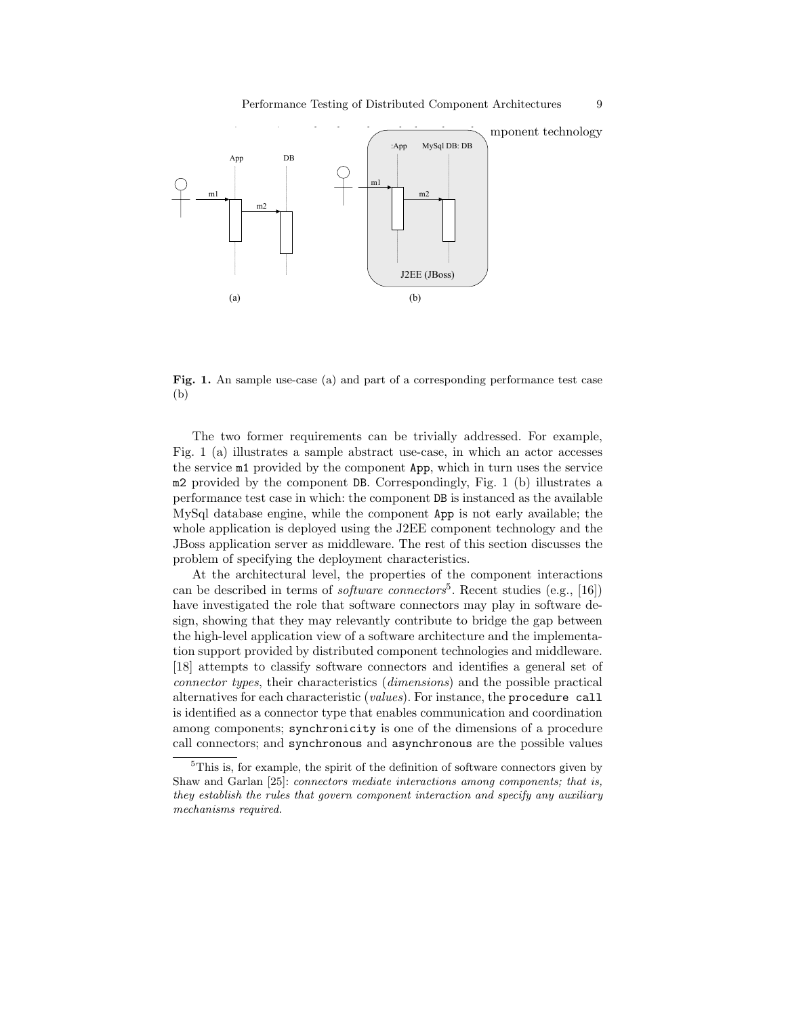

Fig. 1. An sample use-case (a) and part of a corresponding performance test case (b)

The two former requirements can be trivially addressed. For example, Fig. 1 (a) illustrates a sample abstract use-case, in which an actor accesses the service m1 provided by the component App, which in turn uses the service  $m2$  provided by the component DB. Correspondingly, Fig. 1 (b) illustrates a performance test case in which: the component DB is instanced as the available MySql database engine, while the component App is not early available; the whole application is deployed using the J2EE component technology and the JBoss application server as middleware. The rest of this section discusses the problem of specifying the deployment characteristics.

At the architectural level, the properties of the component interactions can be described in terms of *software connectors*<sup>5</sup>. Recent studies (e.g., [16]) have investigated the role that software connectors may play in software design, showing that they may relevantly contribute to bridge the gap between the high-level application view of a software architecture and the implementation support provided by distributed component technologies and middleware. [18] attempts to classify software connectors and identifies a general set of connector types, their characteristics (dimensions) and the possible practical alternatives for each characteristic (values). For instance, the procedure call is identified as a connector type that enables communication and coordination among components; synchronicity is one of the dimensions of a procedure call connectors; and synchronous and asynchronous are the possible values

 ${}^{5}$ This is, for example, the spirit of the definition of software connectors given by Shaw and Garlan [25]: connectors mediate interactions among components; that is, they establish the rules that govern component interaction and specify any auxiliary mechanisms required.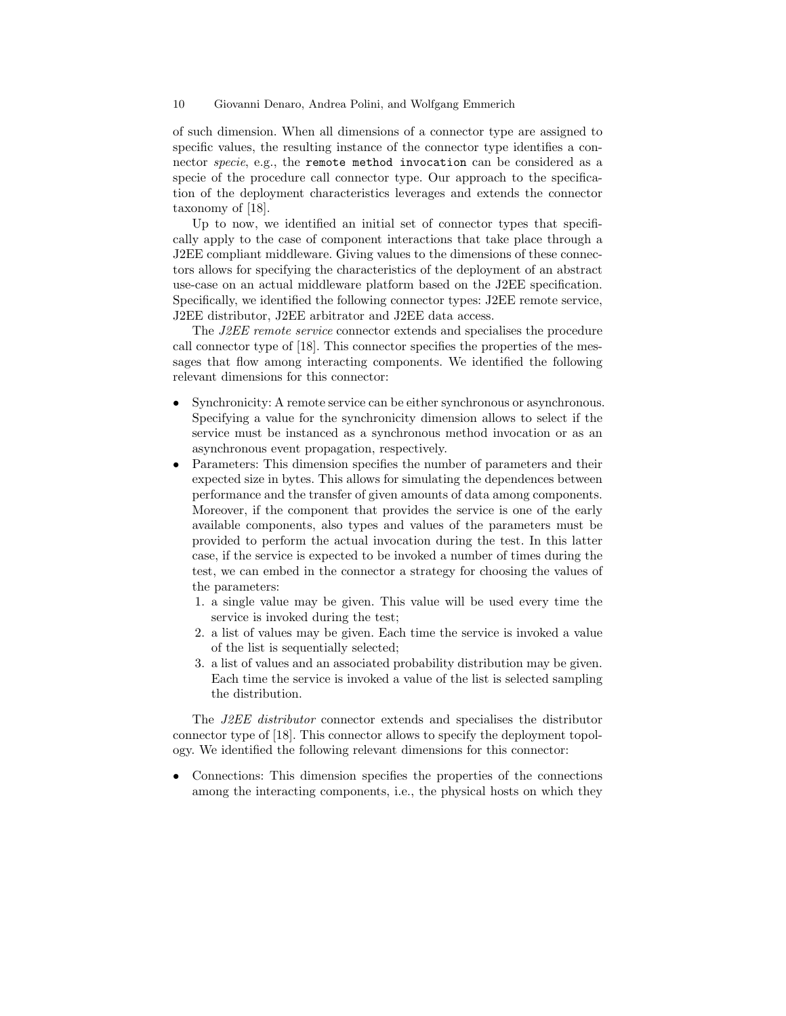of such dimension. When all dimensions of a connector type are assigned to specific values, the resulting instance of the connector type identifies a connector specie, e.g., the remote method invocation can be considered as a specie of the procedure call connector type. Our approach to the specification of the deployment characteristics leverages and extends the connector taxonomy of [18].

Up to now, we identified an initial set of connector types that specifically apply to the case of component interactions that take place through a J2EE compliant middleware. Giving values to the dimensions of these connectors allows for specifying the characteristics of the deployment of an abstract use-case on an actual middleware platform based on the J2EE specification. Specifically, we identified the following connector types: J2EE remote service, J2EE distributor, J2EE arbitrator and J2EE data access.

The J2EE remote service connector extends and specialises the procedure call connector type of [18]. This connector specifies the properties of the messages that flow among interacting components. We identified the following relevant dimensions for this connector:

- Synchronicity: A remote service can be either synchronous or asynchronous. Specifying a value for the synchronicity dimension allows to select if the service must be instanced as a synchronous method invocation or as an asynchronous event propagation, respectively.
- Parameters: This dimension specifies the number of parameters and their expected size in bytes. This allows for simulating the dependences between performance and the transfer of given amounts of data among components. Moreover, if the component that provides the service is one of the early available components, also types and values of the parameters must be provided to perform the actual invocation during the test. In this latter case, if the service is expected to be invoked a number of times during the test, we can embed in the connector a strategy for choosing the values of the parameters:
	- 1. a single value may be given. This value will be used every time the service is invoked during the test;
	- 2. a list of values may be given. Each time the service is invoked a value of the list is sequentially selected;
	- 3. a list of values and an associated probability distribution may be given. Each time the service is invoked a value of the list is selected sampling the distribution.

The J2EE distributor connector extends and specialises the distributor connector type of [18]. This connector allows to specify the deployment topology. We identified the following relevant dimensions for this connector:

• Connections: This dimension specifies the properties of the connections among the interacting components, i.e., the physical hosts on which they

<sup>10</sup> Giovanni Denaro, Andrea Polini, and Wolfgang Emmerich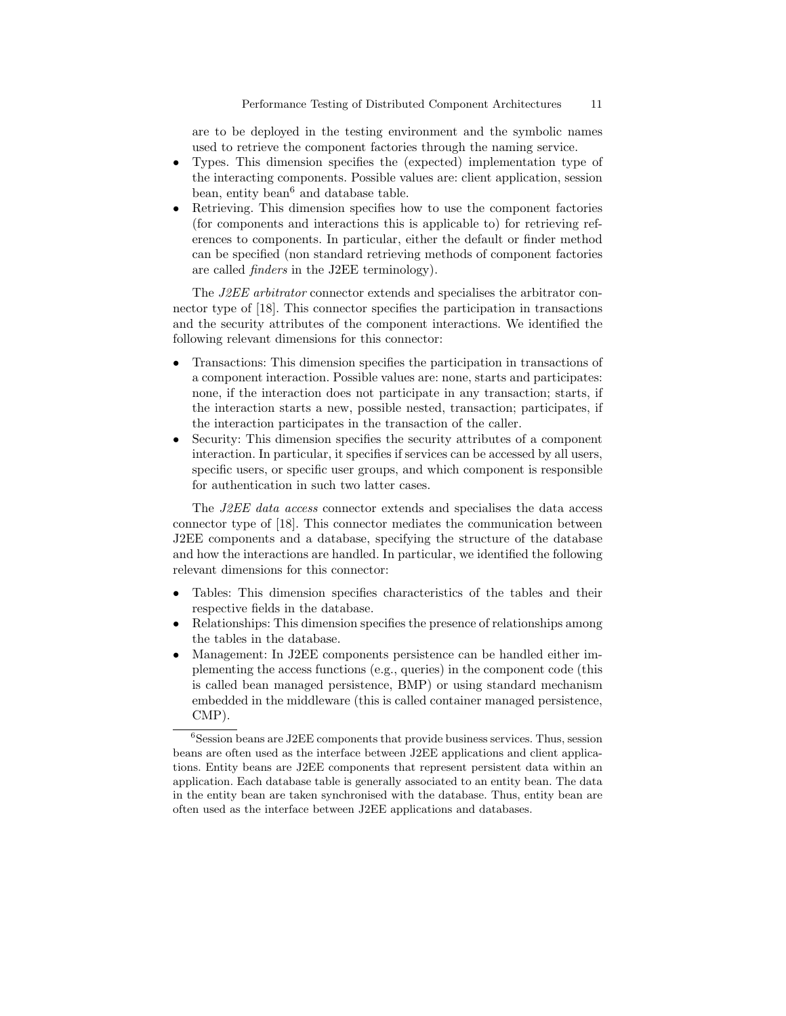are to be deployed in the testing environment and the symbolic names used to retrieve the component factories through the naming service.

- Types. This dimension specifies the (expected) implementation type of the interacting components. Possible values are: client application, session bean, entity bean $^6$  and database table.
- Retrieving. This dimension specifies how to use the component factories (for components and interactions this is applicable to) for retrieving references to components. In particular, either the default or finder method can be specified (non standard retrieving methods of component factories are called finders in the J2EE terminology).

The J2EE arbitrator connector extends and specialises the arbitrator connector type of [18]. This connector specifies the participation in transactions and the security attributes of the component interactions. We identified the following relevant dimensions for this connector:

- Transactions: This dimension specifies the participation in transactions of a component interaction. Possible values are: none, starts and participates: none, if the interaction does not participate in any transaction; starts, if the interaction starts a new, possible nested, transaction; participates, if the interaction participates in the transaction of the caller.
- Security: This dimension specifies the security attributes of a component interaction. In particular, it specifies if services can be accessed by all users, specific users, or specific user groups, and which component is responsible for authentication in such two latter cases.

The J2EE data access connector extends and specialises the data access connector type of [18]. This connector mediates the communication between J2EE components and a database, specifying the structure of the database and how the interactions are handled. In particular, we identified the following relevant dimensions for this connector:

- Tables: This dimension specifies characteristics of the tables and their respective fields in the database.
- Relationships: This dimension specifies the presence of relationships among the tables in the database.
- Management: In J2EE components persistence can be handled either implementing the access functions (e.g., queries) in the component code (this is called bean managed persistence, BMP) or using standard mechanism embedded in the middleware (this is called container managed persistence, CMP).

 ${}^{6}$ Session beans are J2EE components that provide business services. Thus, session beans are often used as the interface between J2EE applications and client applications. Entity beans are J2EE components that represent persistent data within an application. Each database table is generally associated to an entity bean. The data in the entity bean are taken synchronised with the database. Thus, entity bean are often used as the interface between J2EE applications and databases.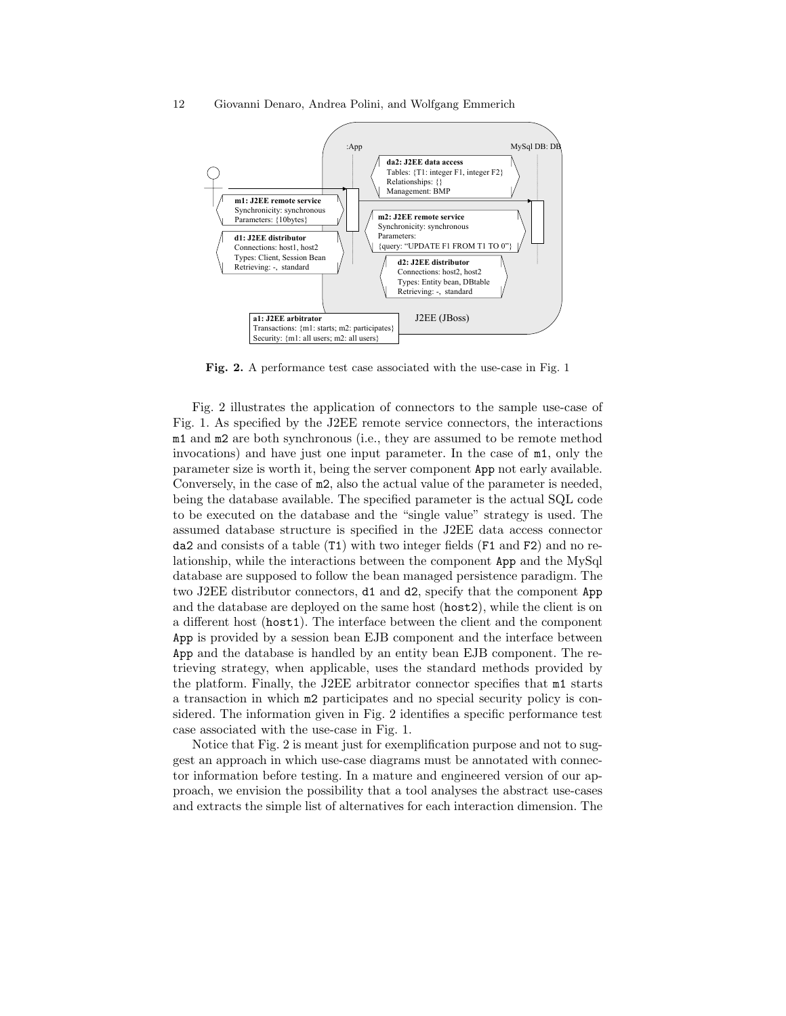



Fig. 2. A performance test case associated with the use-case in Fig. 1

Fig. 2 illustrates the application of connectors to the sample use-case of Fig. 1. As specified by the J2EE remote service connectors, the interactions m1 and m2 are both synchronous (i.e., they are assumed to be remote method invocations) and have just one input parameter. In the case of m1, only the parameter size is worth it, being the server component App not early available. Conversely, in the case of m2, also the actual value of the parameter is needed, being the database available. The specified parameter is the actual SQL code to be executed on the database and the "single value" strategy is used. The assumed database structure is specified in the J2EE data access connector da2 and consists of a table (T1) with two integer fields (F1 and F2) and no relationship, while the interactions between the component App and the MySql database are supposed to follow the bean managed persistence paradigm. The two J2EE distributor connectors, d1 and d2, specify that the component App and the database are deployed on the same host (host2), while the client is on a different host (host1). The interface between the client and the component App is provided by a session bean EJB component and the interface between App and the database is handled by an entity bean EJB component. The retrieving strategy, when applicable, uses the standard methods provided by the platform. Finally, the J2EE arbitrator connector specifies that m1 starts a transaction in which m2 participates and no special security policy is considered. The information given in Fig. 2 identifies a specific performance test case associated with the use-case in Fig. 1.

Notice that Fig. 2 is meant just for exemplification purpose and not to suggest an approach in which use-case diagrams must be annotated with connector information before testing. In a mature and engineered version of our approach, we envision the possibility that a tool analyses the abstract use-cases and extracts the simple list of alternatives for each interaction dimension. The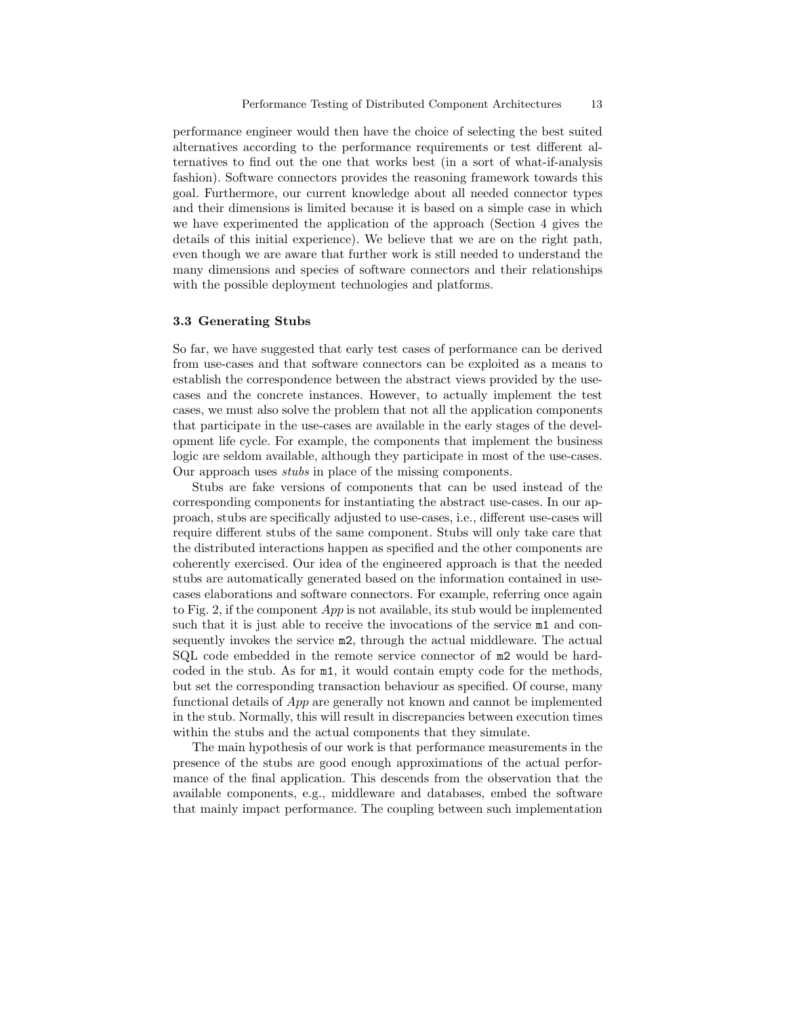performance engineer would then have the choice of selecting the best suited alternatives according to the performance requirements or test different alternatives to find out the one that works best (in a sort of what-if-analysis fashion). Software connectors provides the reasoning framework towards this goal. Furthermore, our current knowledge about all needed connector types and their dimensions is limited because it is based on a simple case in which we have experimented the application of the approach (Section 4 gives the details of this initial experience). We believe that we are on the right path, even though we are aware that further work is still needed to understand the many dimensions and species of software connectors and their relationships with the possible deployment technologies and platforms.

#### 3.3 Generating Stubs

So far, we have suggested that early test cases of performance can be derived from use-cases and that software connectors can be exploited as a means to establish the correspondence between the abstract views provided by the usecases and the concrete instances. However, to actually implement the test cases, we must also solve the problem that not all the application components that participate in the use-cases are available in the early stages of the development life cycle. For example, the components that implement the business logic are seldom available, although they participate in most of the use-cases. Our approach uses stubs in place of the missing components.

Stubs are fake versions of components that can be used instead of the corresponding components for instantiating the abstract use-cases. In our approach, stubs are specifically adjusted to use-cases, i.e., different use-cases will require different stubs of the same component. Stubs will only take care that the distributed interactions happen as specified and the other components are coherently exercised. Our idea of the engineered approach is that the needed stubs are automatically generated based on the information contained in usecases elaborations and software connectors. For example, referring once again to Fig. 2, if the component App is not available, its stub would be implemented such that it is just able to receive the invocations of the service m1 and consequently invokes the service m2, through the actual middleware. The actual SQL code embedded in the remote service connector of m2 would be hardcoded in the stub. As for m1, it would contain empty code for the methods, but set the corresponding transaction behaviour as specified. Of course, many functional details of App are generally not known and cannot be implemented in the stub. Normally, this will result in discrepancies between execution times within the stubs and the actual components that they simulate.

The main hypothesis of our work is that performance measurements in the presence of the stubs are good enough approximations of the actual performance of the final application. This descends from the observation that the available components, e.g., middleware and databases, embed the software that mainly impact performance. The coupling between such implementation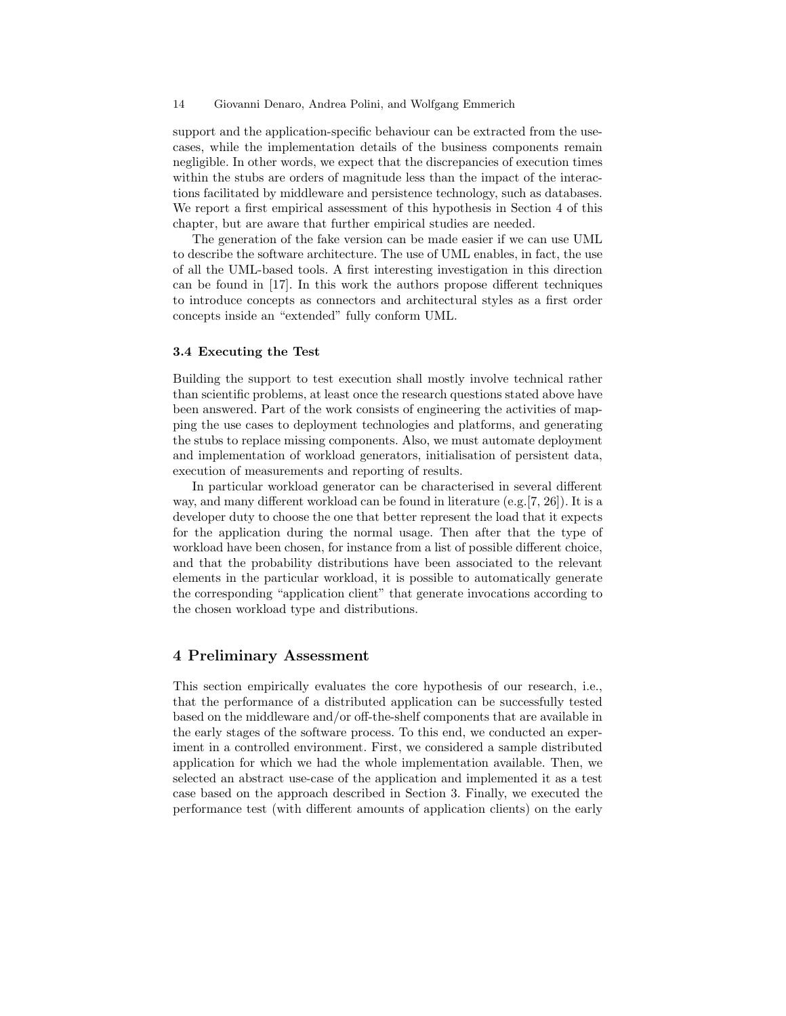support and the application-specific behaviour can be extracted from the usecases, while the implementation details of the business components remain negligible. In other words, we expect that the discrepancies of execution times within the stubs are orders of magnitude less than the impact of the interactions facilitated by middleware and persistence technology, such as databases. We report a first empirical assessment of this hypothesis in Section 4 of this chapter, but are aware that further empirical studies are needed.

The generation of the fake version can be made easier if we can use UML to describe the software architecture. The use of UML enables, in fact, the use of all the UML-based tools. A first interesting investigation in this direction can be found in [17]. In this work the authors propose different techniques to introduce concepts as connectors and architectural styles as a first order concepts inside an "extended" fully conform UML.

#### 3.4 Executing the Test

Building the support to test execution shall mostly involve technical rather than scientific problems, at least once the research questions stated above have been answered. Part of the work consists of engineering the activities of mapping the use cases to deployment technologies and platforms, and generating the stubs to replace missing components. Also, we must automate deployment and implementation of workload generators, initialisation of persistent data, execution of measurements and reporting of results.

In particular workload generator can be characterised in several different way, and many different workload can be found in literature (e.g.[7, 26]). It is a developer duty to choose the one that better represent the load that it expects for the application during the normal usage. Then after that the type of workload have been chosen, for instance from a list of possible different choice, and that the probability distributions have been associated to the relevant elements in the particular workload, it is possible to automatically generate the corresponding "application client" that generate invocations according to the chosen workload type and distributions.

## 4 Preliminary Assessment

This section empirically evaluates the core hypothesis of our research, i.e., that the performance of a distributed application can be successfully tested based on the middleware and/or off-the-shelf components that are available in the early stages of the software process. To this end, we conducted an experiment in a controlled environment. First, we considered a sample distributed application for which we had the whole implementation available. Then, we selected an abstract use-case of the application and implemented it as a test case based on the approach described in Section 3. Finally, we executed the performance test (with different amounts of application clients) on the early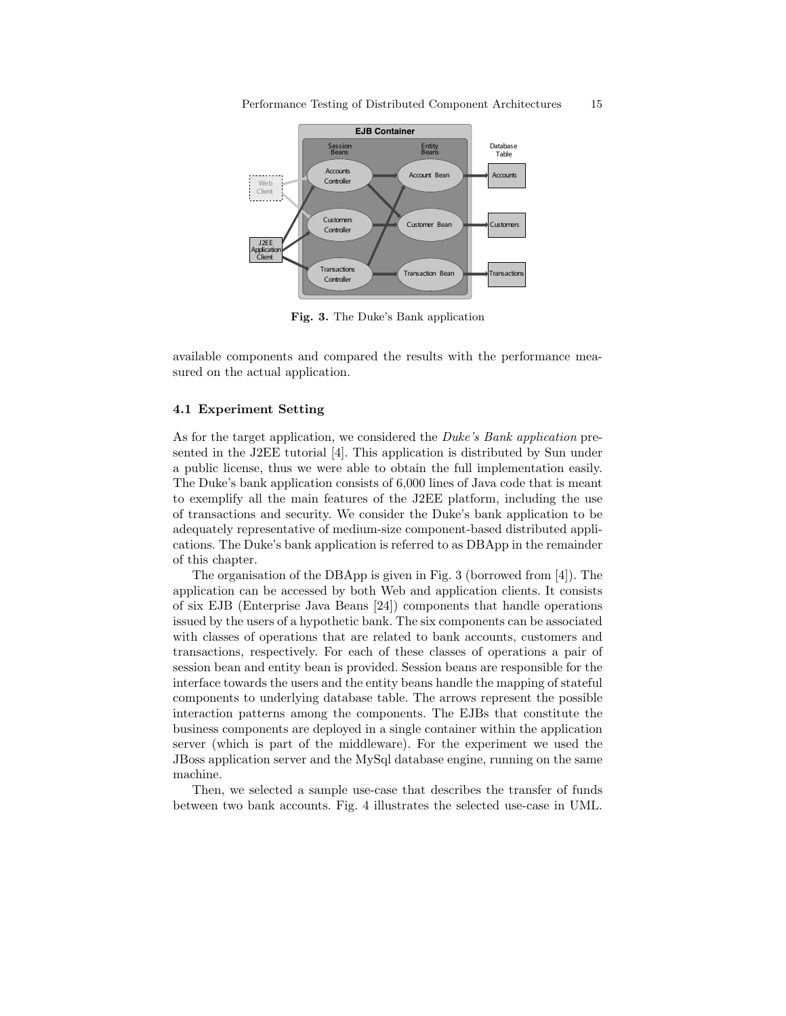

Fig. 3. The Duke's Bank application

available components and compared the results with the performance measured on the actual application.

#### 4.1 Experiment Setting

As for the target application, we considered the *Duke's Bank application* presented in the J2EE tutorial [4]. This application is distributed by Sun under a public license, thus we were able to obtain the full implementation easily. The Duke's bank application consists of 6,000 lines of Java code that is meant to exemplify all the main features of the J2EE platform, including the use of transactions and security. We consider the Duke's bank application to be adequately representative of medium-size component-based distributed applications. The Duke's bank application is referred to as DBApp in the remainder of this chapter.

The organisation of the DBApp is given in Fig. 3 (borrowed from [4]). The application can be accessed by both Web and application clients. It consists of six EJB (Enterprise Java Beans [24]) components that handle operations issued by the users of a hypothetic bank. The six components can be associated with classes of operations that are related to bank accounts, customers and transactions, respectively. For each of these classes of operations a pair of session bean and entity bean is provided. Session beans are responsible for the interface towards the users and the entity beans handle the mapping of stateful components to underlying database table. The arrows represent the possible interaction patterns among the components. The EJBs that constitute the business components are deployed in a single container within the application server (which is part of the middleware). For the experiment we used the JBoss application server and the MySql database engine, running on the same machine.

Then, we selected a sample use-case that describes the transfer of funds between two bank accounts. Fig. 4 illustrates the selected use-case in UML.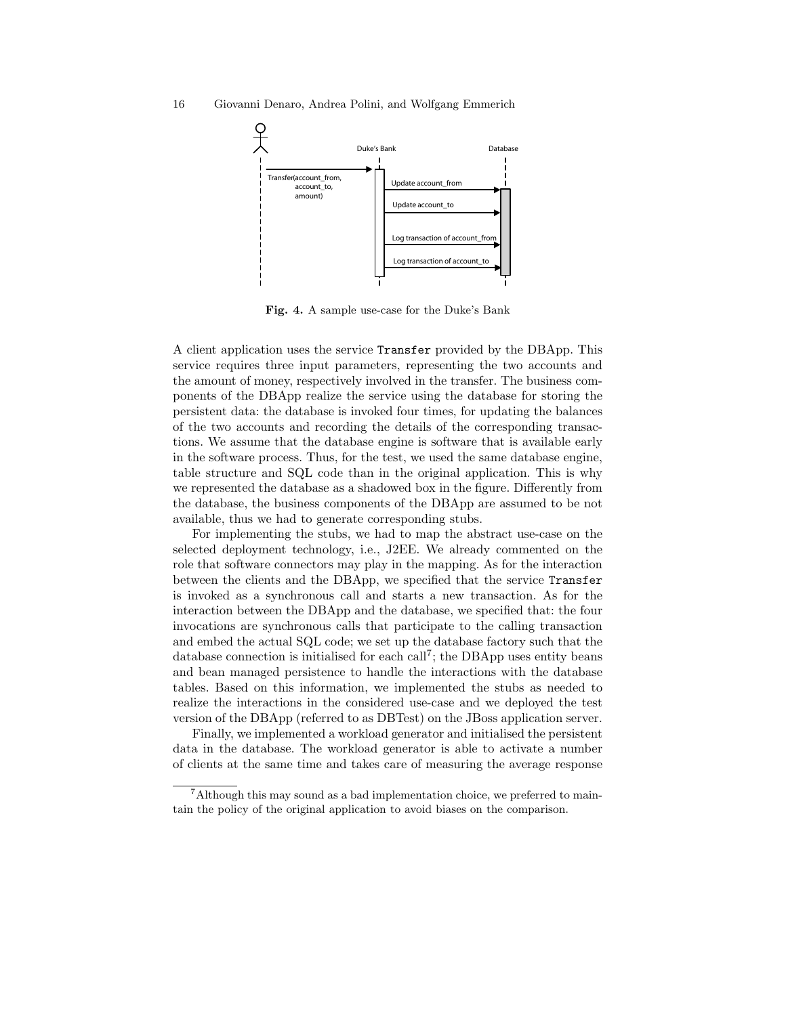16 Giovanni Denaro, Andrea Polini, and Wolfgang Emmerich



Fig. 4. A sample use-case for the Duke's Bank

A client application uses the service Transfer provided by the DBApp. This service requires three input parameters, representing the two accounts and the amount of money, respectively involved in the transfer. The business components of the DBApp realize the service using the database for storing the persistent data: the database is invoked four times, for updating the balances of the two accounts and recording the details of the corresponding transactions. We assume that the database engine is software that is available early in the software process. Thus, for the test, we used the same database engine, table structure and SQL code than in the original application. This is why we represented the database as a shadowed box in the figure. Differently from the database, the business components of the DBApp are assumed to be not available, thus we had to generate corresponding stubs.

For implementing the stubs, we had to map the abstract use-case on the selected deployment technology, i.e., J2EE. We already commented on the role that software connectors may play in the mapping. As for the interaction between the clients and the DBApp, we specified that the service Transfer is invoked as a synchronous call and starts a new transaction. As for the interaction between the DBApp and the database, we specified that: the four invocations are synchronous calls that participate to the calling transaction and embed the actual SQL code; we set up the database factory such that the database connection is initialised for each call<sup>7</sup>; the DBApp uses entity beans and bean managed persistence to handle the interactions with the database tables. Based on this information, we implemented the stubs as needed to realize the interactions in the considered use-case and we deployed the test version of the DBApp (referred to as DBTest) on the JBoss application server.

Finally, we implemented a workload generator and initialised the persistent data in the database. The workload generator is able to activate a number of clients at the same time and takes care of measuring the average response

<sup>&</sup>lt;sup>7</sup>Although this may sound as a bad implementation choice, we preferred to maintain the policy of the original application to avoid biases on the comparison.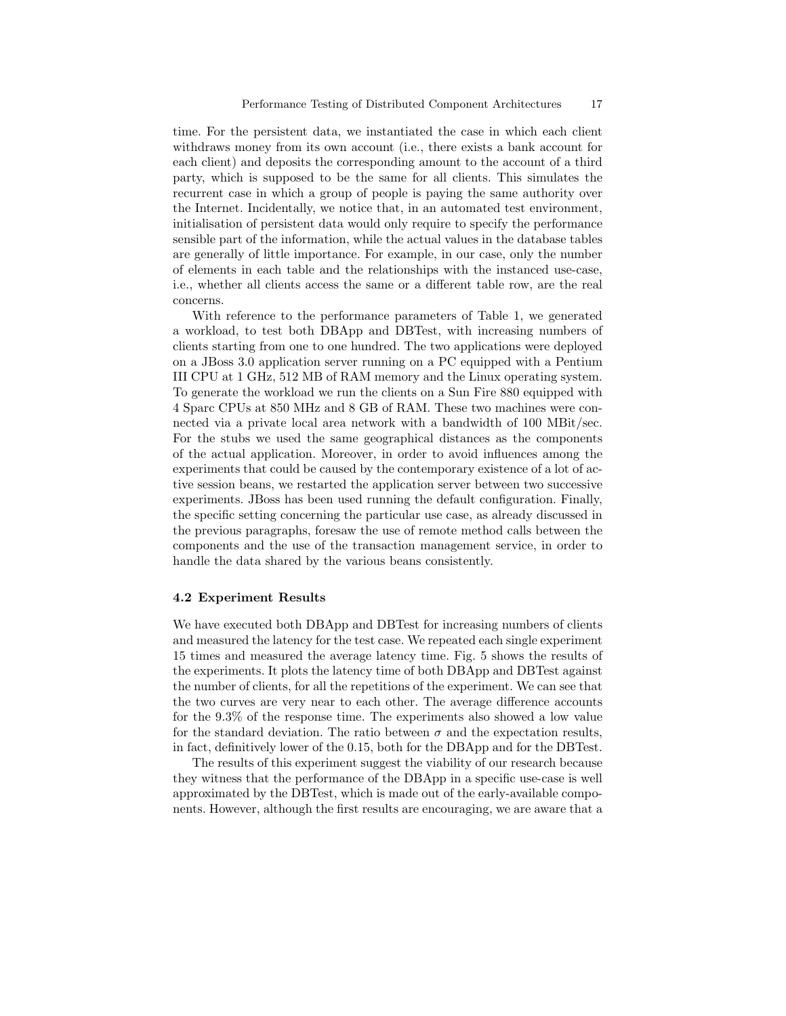time. For the persistent data, we instantiated the case in which each client withdraws money from its own account (i.e., there exists a bank account for each client) and deposits the corresponding amount to the account of a third party, which is supposed to be the same for all clients. This simulates the recurrent case in which a group of people is paying the same authority over the Internet. Incidentally, we notice that, in an automated test environment, initialisation of persistent data would only require to specify the performance sensible part of the information, while the actual values in the database tables are generally of little importance. For example, in our case, only the number of elements in each table and the relationships with the instanced use-case, i.e., whether all clients access the same or a different table row, are the real concerns.

With reference to the performance parameters of Table 1, we generated a workload, to test both DBApp and DBTest, with increasing numbers of clients starting from one to one hundred. The two applications were deployed on a JBoss 3.0 application server running on a PC equipped with a Pentium III CPU at 1 GHz, 512 MB of RAM memory and the Linux operating system. To generate the workload we run the clients on a Sun Fire 880 equipped with 4 Sparc CPUs at 850 MHz and 8 GB of RAM. These two machines were connected via a private local area network with a bandwidth of 100 MBit/sec. For the stubs we used the same geographical distances as the components of the actual application. Moreover, in order to avoid influences among the experiments that could be caused by the contemporary existence of a lot of active session beans, we restarted the application server between two successive experiments. JBoss has been used running the default configuration. Finally, the specific setting concerning the particular use case, as already discussed in the previous paragraphs, foresaw the use of remote method calls between the components and the use of the transaction management service, in order to handle the data shared by the various beans consistently.

#### 4.2 Experiment Results

We have executed both DBApp and DBTest for increasing numbers of clients and measured the latency for the test case. We repeated each single experiment 15 times and measured the average latency time. Fig. 5 shows the results of the experiments. It plots the latency time of both DBApp and DBTest against the number of clients, for all the repetitions of the experiment. We can see that the two curves are very near to each other. The average difference accounts for the 9.3% of the response time. The experiments also showed a low value for the standard deviation. The ratio between  $\sigma$  and the expectation results, in fact, definitively lower of the 0.15, both for the DBApp and for the DBTest.

The results of this experiment suggest the viability of our research because they witness that the performance of the DBApp in a specific use-case is well approximated by the DBTest, which is made out of the early-available components. However, although the first results are encouraging, we are aware that a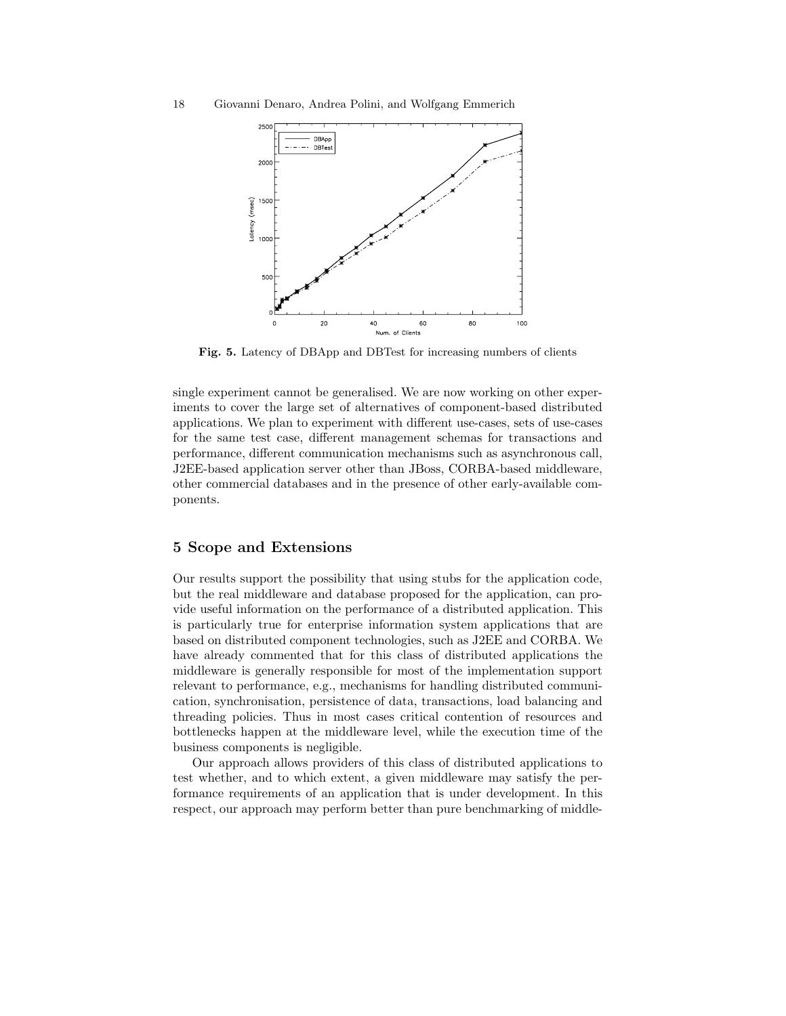

Fig. 5. Latency of DBApp and DBTest for increasing numbers of clients

single experiment cannot be generalised. We are now working on other experiments to cover the large set of alternatives of component-based distributed applications. We plan to experiment with different use-cases, sets of use-cases for the same test case, different management schemas for transactions and performance, different communication mechanisms such as asynchronous call, J2EE-based application server other than JBoss, CORBA-based middleware, other commercial databases and in the presence of other early-available components.

#### 5 Scope and Extensions

Our results support the possibility that using stubs for the application code, but the real middleware and database proposed for the application, can provide useful information on the performance of a distributed application. This is particularly true for enterprise information system applications that are based on distributed component technologies, such as J2EE and CORBA. We have already commented that for this class of distributed applications the middleware is generally responsible for most of the implementation support relevant to performance, e.g., mechanisms for handling distributed communication, synchronisation, persistence of data, transactions, load balancing and threading policies. Thus in most cases critical contention of resources and bottlenecks happen at the middleware level, while the execution time of the business components is negligible.

Our approach allows providers of this class of distributed applications to test whether, and to which extent, a given middleware may satisfy the performance requirements of an application that is under development. In this respect, our approach may perform better than pure benchmarking of middle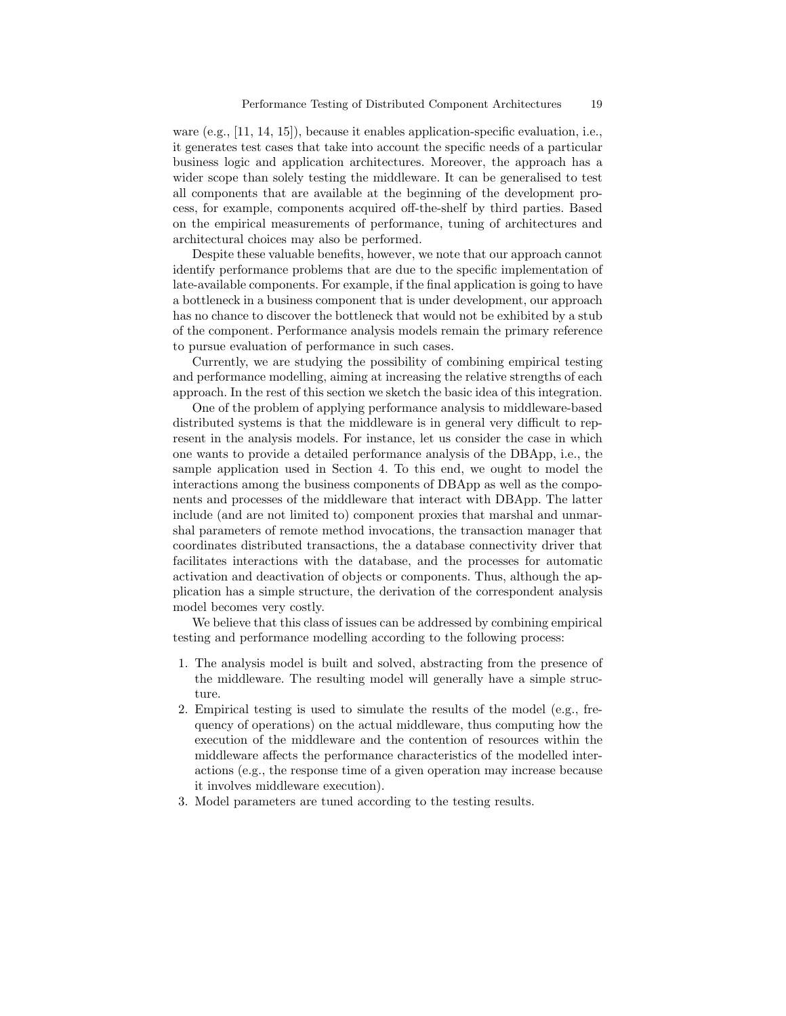ware  $(e.g., [11, 14, 15])$ , because it enables application-specific evaluation, i.e., it generates test cases that take into account the specific needs of a particular business logic and application architectures. Moreover, the approach has a wider scope than solely testing the middleware. It can be generalised to test all components that are available at the beginning of the development process, for example, components acquired off-the-shelf by third parties. Based on the empirical measurements of performance, tuning of architectures and architectural choices may also be performed.

Despite these valuable benefits, however, we note that our approach cannot identify performance problems that are due to the specific implementation of late-available components. For example, if the final application is going to have a bottleneck in a business component that is under development, our approach has no chance to discover the bottleneck that would not be exhibited by a stub of the component. Performance analysis models remain the primary reference to pursue evaluation of performance in such cases.

Currently, we are studying the possibility of combining empirical testing and performance modelling, aiming at increasing the relative strengths of each approach. In the rest of this section we sketch the basic idea of this integration.

One of the problem of applying performance analysis to middleware-based distributed systems is that the middleware is in general very difficult to represent in the analysis models. For instance, let us consider the case in which one wants to provide a detailed performance analysis of the DBApp, i.e., the sample application used in Section 4. To this end, we ought to model the interactions among the business components of DBApp as well as the components and processes of the middleware that interact with DBApp. The latter include (and are not limited to) component proxies that marshal and unmarshal parameters of remote method invocations, the transaction manager that coordinates distributed transactions, the a database connectivity driver that facilitates interactions with the database, and the processes for automatic activation and deactivation of objects or components. Thus, although the application has a simple structure, the derivation of the correspondent analysis model becomes very costly.

We believe that this class of issues can be addressed by combining empirical testing and performance modelling according to the following process:

- 1. The analysis model is built and solved, abstracting from the presence of the middleware. The resulting model will generally have a simple structure.
- 2. Empirical testing is used to simulate the results of the model (e.g., frequency of operations) on the actual middleware, thus computing how the execution of the middleware and the contention of resources within the middleware affects the performance characteristics of the modelled interactions (e.g., the response time of a given operation may increase because it involves middleware execution).
- 3. Model parameters are tuned according to the testing results.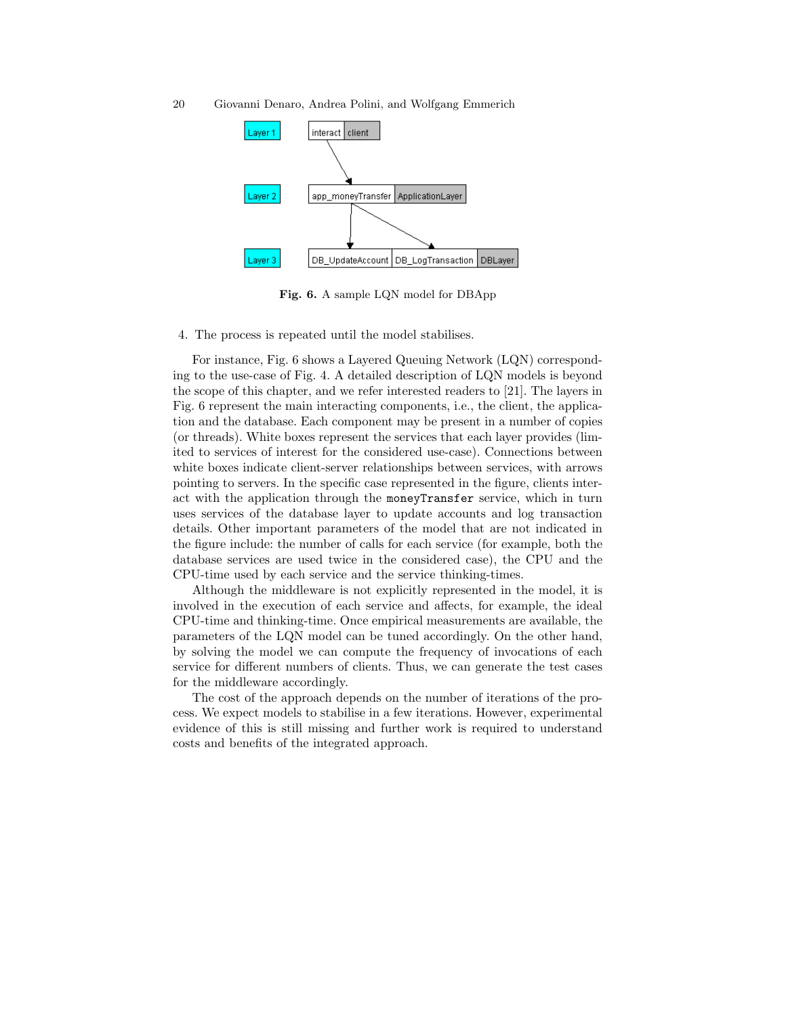20 Giovanni Denaro, Andrea Polini, and Wolfgang Emmerich



Fig. 6. A sample LQN model for DBApp

4. The process is repeated until the model stabilises.

For instance, Fig. 6 shows a Layered Queuing Network (LQN) corresponding to the use-case of Fig. 4. A detailed description of LQN models is beyond the scope of this chapter, and we refer interested readers to [21]. The layers in Fig. 6 represent the main interacting components, i.e., the client, the application and the database. Each component may be present in a number of copies (or threads). White boxes represent the services that each layer provides (limited to services of interest for the considered use-case). Connections between white boxes indicate client-server relationships between services, with arrows pointing to servers. In the specific case represented in the figure, clients interact with the application through the moneyTransfer service, which in turn uses services of the database layer to update accounts and log transaction details. Other important parameters of the model that are not indicated in the figure include: the number of calls for each service (for example, both the database services are used twice in the considered case), the CPU and the CPU-time used by each service and the service thinking-times.

Although the middleware is not explicitly represented in the model, it is involved in the execution of each service and affects, for example, the ideal CPU-time and thinking-time. Once empirical measurements are available, the parameters of the LQN model can be tuned accordingly. On the other hand, by solving the model we can compute the frequency of invocations of each service for different numbers of clients. Thus, we can generate the test cases for the middleware accordingly.

The cost of the approach depends on the number of iterations of the process. We expect models to stabilise in a few iterations. However, experimental evidence of this is still missing and further work is required to understand costs and benefits of the integrated approach.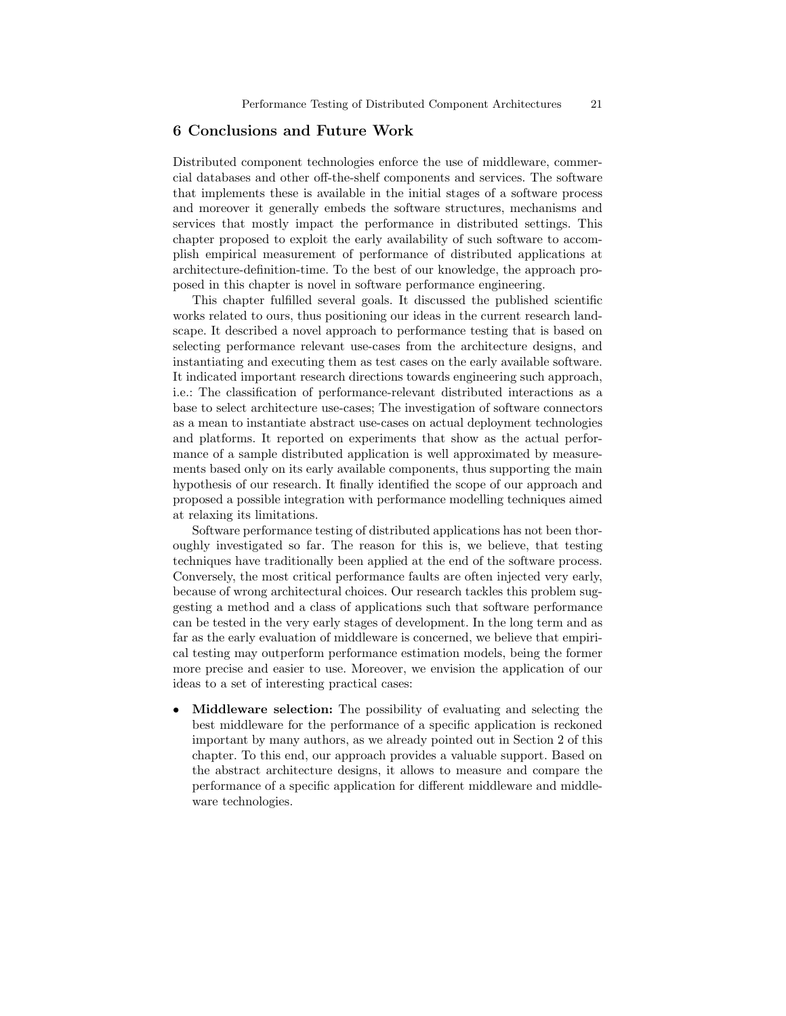## 6 Conclusions and Future Work

Distributed component technologies enforce the use of middleware, commercial databases and other off-the-shelf components and services. The software that implements these is available in the initial stages of a software process and moreover it generally embeds the software structures, mechanisms and services that mostly impact the performance in distributed settings. This chapter proposed to exploit the early availability of such software to accomplish empirical measurement of performance of distributed applications at architecture-definition-time. To the best of our knowledge, the approach proposed in this chapter is novel in software performance engineering.

This chapter fulfilled several goals. It discussed the published scientific works related to ours, thus positioning our ideas in the current research landscape. It described a novel approach to performance testing that is based on selecting performance relevant use-cases from the architecture designs, and instantiating and executing them as test cases on the early available software. It indicated important research directions towards engineering such approach, i.e.: The classification of performance-relevant distributed interactions as a base to select architecture use-cases; The investigation of software connectors as a mean to instantiate abstract use-cases on actual deployment technologies and platforms. It reported on experiments that show as the actual performance of a sample distributed application is well approximated by measurements based only on its early available components, thus supporting the main hypothesis of our research. It finally identified the scope of our approach and proposed a possible integration with performance modelling techniques aimed at relaxing its limitations.

Software performance testing of distributed applications has not been thoroughly investigated so far. The reason for this is, we believe, that testing techniques have traditionally been applied at the end of the software process. Conversely, the most critical performance faults are often injected very early, because of wrong architectural choices. Our research tackles this problem suggesting a method and a class of applications such that software performance can be tested in the very early stages of development. In the long term and as far as the early evaluation of middleware is concerned, we believe that empirical testing may outperform performance estimation models, being the former more precise and easier to use. Moreover, we envision the application of our ideas to a set of interesting practical cases:

• Middleware selection: The possibility of evaluating and selecting the best middleware for the performance of a specific application is reckoned important by many authors, as we already pointed out in Section 2 of this chapter. To this end, our approach provides a valuable support. Based on the abstract architecture designs, it allows to measure and compare the performance of a specific application for different middleware and middleware technologies.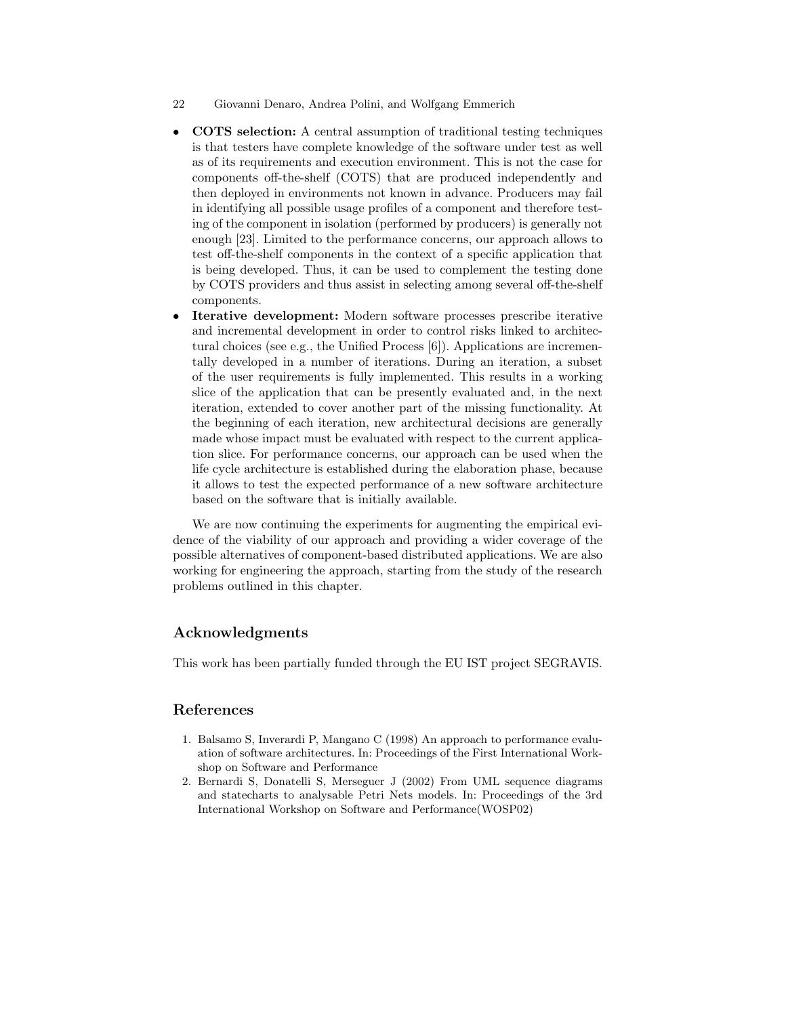- 22 Giovanni Denaro, Andrea Polini, and Wolfgang Emmerich
- COTS selection: A central assumption of traditional testing techniques is that testers have complete knowledge of the software under test as well as of its requirements and execution environment. This is not the case for components off-the-shelf (COTS) that are produced independently and then deployed in environments not known in advance. Producers may fail in identifying all possible usage profiles of a component and therefore testing of the component in isolation (performed by producers) is generally not enough [23]. Limited to the performance concerns, our approach allows to test off-the-shelf components in the context of a specific application that is being developed. Thus, it can be used to complement the testing done by COTS providers and thus assist in selecting among several off-the-shelf components.
- Iterative development: Modern software processes prescribe iterative and incremental development in order to control risks linked to architectural choices (see e.g., the Unified Process [6]). Applications are incrementally developed in a number of iterations. During an iteration, a subset of the user requirements is fully implemented. This results in a working slice of the application that can be presently evaluated and, in the next iteration, extended to cover another part of the missing functionality. At the beginning of each iteration, new architectural decisions are generally made whose impact must be evaluated with respect to the current application slice. For performance concerns, our approach can be used when the life cycle architecture is established during the elaboration phase, because it allows to test the expected performance of a new software architecture based on the software that is initially available.

We are now continuing the experiments for augmenting the empirical evidence of the viability of our approach and providing a wider coverage of the possible alternatives of component-based distributed applications. We are also working for engineering the approach, starting from the study of the research problems outlined in this chapter.

## Acknowledgments

This work has been partially funded through the EU IST project SEGRAVIS.

## References

- 1. Balsamo S, Inverardi P, Mangano C (1998) An approach to performance evaluation of software architectures. In: Proceedings of the First International Workshop on Software and Performance
- 2. Bernardi S, Donatelli S, Merseguer J (2002) From UML sequence diagrams and statecharts to analysable Petri Nets models. In: Proceedings of the 3rd International Workshop on Software and Performance(WOSP02)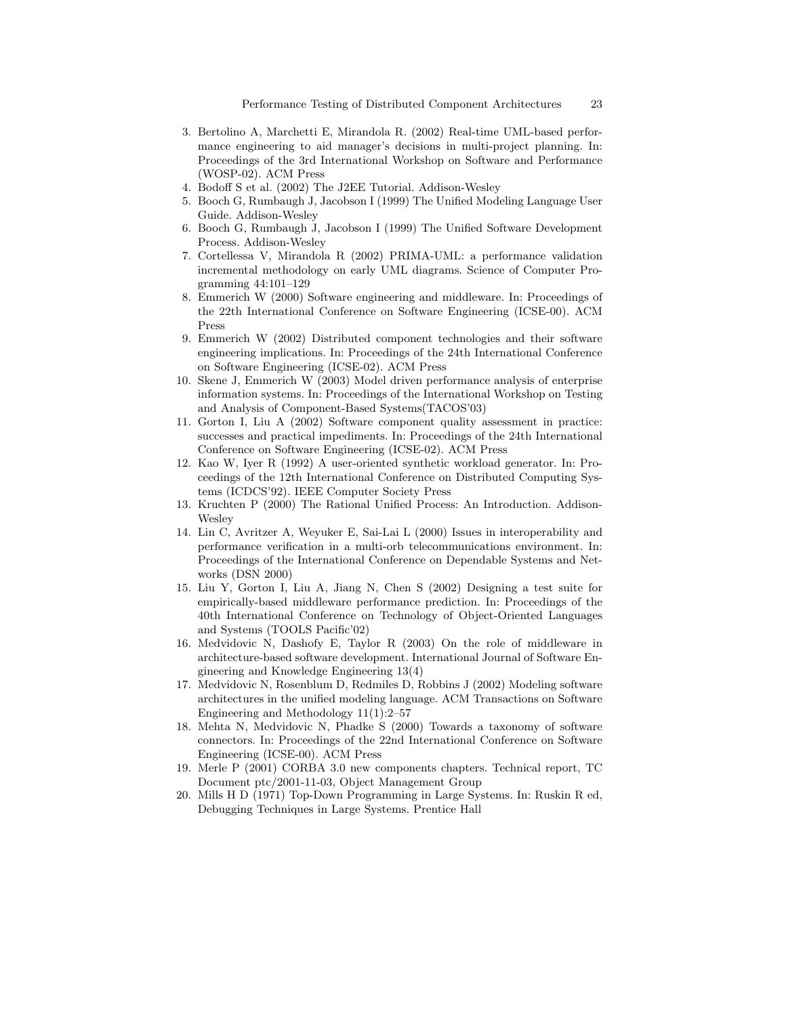- 3. Bertolino A, Marchetti E, Mirandola R. (2002) Real-time UML-based performance engineering to aid manager's decisions in multi-project planning. In: Proceedings of the 3rd International Workshop on Software and Performance (WOSP-02). ACM Press
- 4. Bodoff S et al. (2002) The J2EE Tutorial. Addison-Wesley
- 5. Booch G, Rumbaugh J, Jacobson I (1999) The Unified Modeling Language User Guide. Addison-Wesley
- 6. Booch G, Rumbaugh J, Jacobson I (1999) The Unified Software Development Process. Addison-Wesley
- 7. Cortellessa V, Mirandola R (2002) PRIMA-UML: a performance validation incremental methodology on early UML diagrams. Science of Computer Programming 44:101–129
- 8. Emmerich W (2000) Software engineering and middleware. In: Proceedings of the 22th International Conference on Software Engineering (ICSE-00). ACM Press
- 9. Emmerich W (2002) Distributed component technologies and their software engineering implications. In: Proceedings of the 24th International Conference on Software Engineering (ICSE-02). ACM Press
- 10. Skene J, Emmerich W (2003) Model driven performance analysis of enterprise information systems. In: Proceedings of the International Workshop on Testing and Analysis of Component-Based Systems(TACOS'03)
- 11. Gorton I, Liu A (2002) Software component quality assessment in practice: successes and practical impediments. In: Proceedings of the 24th International Conference on Software Engineering (ICSE-02). ACM Press
- 12. Kao W, Iyer R (1992) A user-oriented synthetic workload generator. In: Proceedings of the 12th International Conference on Distributed Computing Systems (ICDCS'92). IEEE Computer Society Press
- 13. Kruchten P (2000) The Rational Unified Process: An Introduction. Addison-Wesley
- 14. Lin C, Avritzer A, Weyuker E, Sai-Lai L (2000) Issues in interoperability and performance verification in a multi-orb telecommunications environment. In: Proceedings of the International Conference on Dependable Systems and Networks (DSN 2000)
- 15. Liu Y, Gorton I, Liu A, Jiang N, Chen S (2002) Designing a test suite for empirically-based middleware performance prediction. In: Proceedings of the 40th International Conference on Technology of Object-Oriented Languages and Systems (TOOLS Pacific'02)
- 16. Medvidovic N, Dashofy E, Taylor R (2003) On the role of middleware in architecture-based software development. International Journal of Software Engineering and Knowledge Engineering 13(4)
- 17. Medvidovic N, Rosenblum D, Redmiles D, Robbins J (2002) Modeling software architectures in the unified modeling language. ACM Transactions on Software Engineering and Methodology 11(1):2–57
- 18. Mehta N, Medvidovic N, Phadke S (2000) Towards a taxonomy of software connectors. In: Proceedings of the 22nd International Conference on Software Engineering (ICSE-00). ACM Press
- 19. Merle P (2001) CORBA 3.0 new components chapters. Technical report, TC Document ptc/2001-11-03, Object Management Group
- 20. Mills H D (1971) Top-Down Programming in Large Systems. In: Ruskin R ed, Debugging Techniques in Large Systems. Prentice Hall